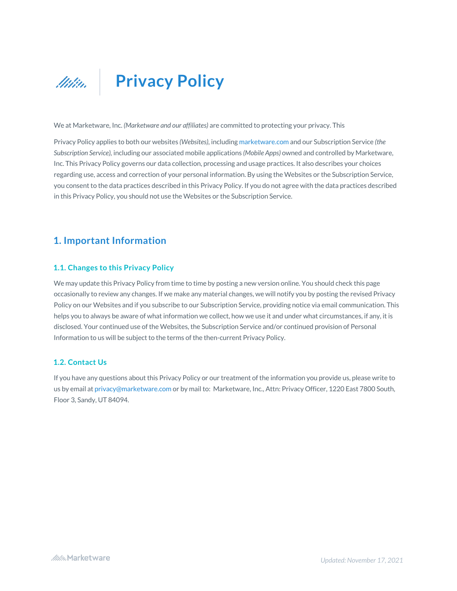

We at Marketware, Inc. *(Marketware and our affiliates)* are committed to protecting your privacy. This

Privacy Policy applies to both our websites *(Websites),* including marketware.com and our Subscription Service *(the Subscription Service),* including our associated mobile applications *(Mobile Apps)* owned and controlled by Marketware, Inc. This Privacy Policy governs our data collection, processing and usage practices. It also describes your choices regarding use, access and correction of your personal information. By using the Websites or the Subscription Service, you consent to the data practices described in this Privacy Policy. If you do not agree with the data practices described in this Privacy Policy, you should not use the Websites or the Subscription Service.

## **1. Important Information**

### **1.1. Changes to this Privacy Policy**

We may update this Privacy Policy from time to time by posting a new version online. You should check this page occasionally to review any changes. If we make any material changes, we will notify you by posting the revised Privacy Policy on our Websites and if you subscribe to our Subscription Service, providing notice via email communication. This helps you to always be aware of what information we collect, how we use it and under what circumstances, if any, it is disclosed. Your continued use of the Websites, the Subscription Service and/or continued provision of Personal Information to us will be subject to the terms of the then-current Privacy Policy.

## **1.2. Contact Us**

If you have any questions about this Privacy Policy or our treatment of the information you provide us, please write to us by email at privacy@marketware.com or by mail to: Marketware, Inc., Attn: Privacy Officer, 1220 East 7800 South, Floor 3, Sandy, UT 84094.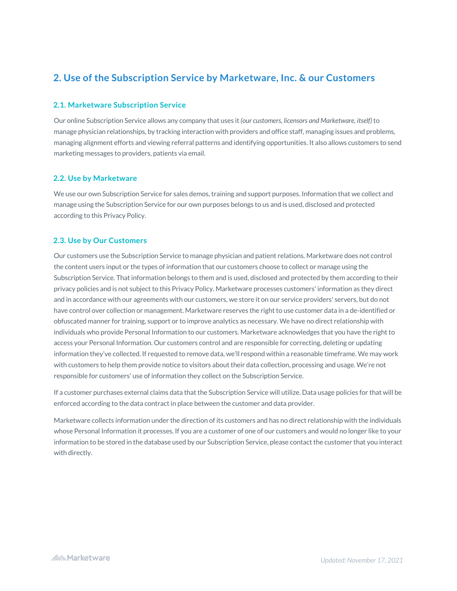## **2. Use of the Subscription Service by Marketware, Inc. & our Customers**

#### **2.1. Marketware Subscription Service**

Our online Subscription Service allows any company that uses it *(our customers, licensors and Marketware, itself)* to manage physician relationships, by tracking interaction with providers and office staff, managing issues and problems, managing alignment efforts and viewing referral patterns and identifying opportunities. It also allows customers to send marketing messages to providers, patients via email.

#### **2.2. Use by Marketware**

We use our own Subscription Service for sales demos, training and support purposes. Information that we collect and manage using the Subscription Service for our own purposes belongs to us and is used, disclosed and protected according to this Privacy Policy.

### **2.3. Use by Our Customers**

Our customers use the Subscription Service to manage physician and patient relations. Marketware does not control the content users input or the types of information that our customers choose to collect or manage using the Subscription Service. That information belongs to them and is used, disclosed and protected by them according to their privacy policies and is not subject to this Privacy Policy. Marketware processes customers' information as they direct and in accordance with our agreements with our customers, we store it on our service providers' servers, but do not have control over collection or management. Marketware reserves the right to use customer data in a de-identified or obfuscated manner for training, support or to improve analytics as necessary. We have no direct relationship with individuals who provide Personal Information to our customers. Marketware acknowledges that you have the right to access your Personal Information. Our customers control and are responsible for correcting, deleting or updating information they've collected. If requested to remove data, we'll respond within a reasonable timeframe. We may work with customers to help them provide notice to visitors about their data collection, processing and usage. We're not responsible for customers' use of information they collect on the Subscription Service.

If a customer purchases external claims data that the Subscription Service will utilize. Data usage policies for that will be enforced according to the data contract in place between the customer and data provider.

Marketware collects information under the direction of its customers and has no direct relationship with the individuals whose Personal Information it processes. If you are a customer of one of our customers and would no longer like to your information to be stored in the database used by our Subscription Service, please contact the customer that you interact with directly.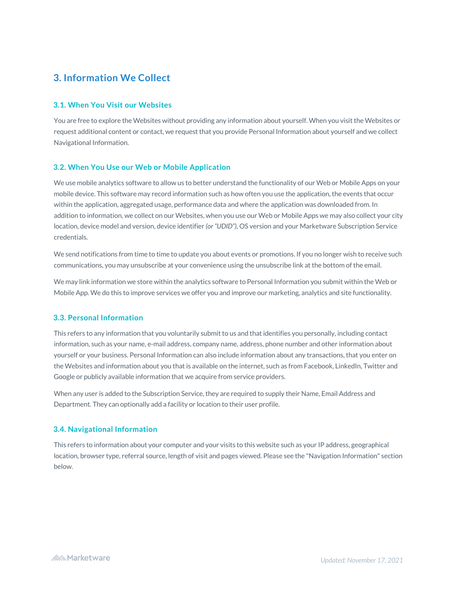# **3. Information We Collect**

### **3.1. When You Visit our Websites**

You are free to explore the Websites without providing any information about yourself. When you visit the Websites or request additional content or contact, we request that you provide Personal Information about yourself and we collect Navigational Information.

#### **3.2. When You Use our Web or Mobile Application**

We use mobile analytics software to allow us to better understand the functionality of our Web or Mobile Apps on your mobile device. This software may record information such as how often you use the application, the events that occur within the application, aggregated usage, performance data and where the application was downloaded from. In addition to information, we collect on our Websites, when you use our Web or Mobile Apps we may also collect your city location, device model and version, device identifier *(or "UDID"),* OS version and your Marketware Subscription Service credentials.

We send notifications from time to time to update you about events or promotions. If you no longer wish to receive such communications, you may unsubscribe at your convenience using the unsubscribe link at the bottom of the email.

We may link information we store within the analytics software to Personal Information you submit within the Web or Mobile App. We do this to improve services we offer you and improve our marketing, analytics and site functionality.

#### **3.3. Personal Information**

This refers to any information that you voluntarily submit to us and that identifies you personally, including contact information, such as your name, e-mail address, company name, address, phone number and other information about yourself or your business. Personal Information can also include information about any transactions, that you enter on the Websites and information about you that is available on the internet, such as from Facebook, LinkedIn, Twitter and Google or publicly available information that we acquire from service providers.

When any user is added to the Subscription Service, they are required to supply their Name, Email Address and Department. They can optionally add a facility or location to their user profile.

## **3.4. Navigational Information**

This refers to information about your computer and your visits to this website such as your IP address, geographical location, browser type, referral source, length of visit and pages viewed. Please see the "Navigation Information" section below.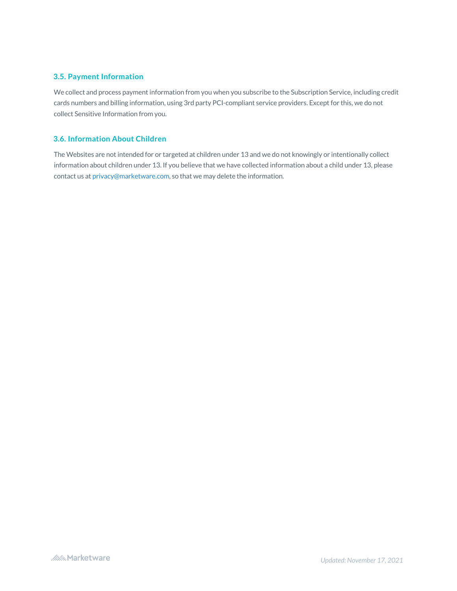### **3.5. Payment Information**

We collect and process payment information from you when you subscribe to the Subscription Service, including credit cards numbers and billing information, using 3rd party PCI-compliant service providers. Except for this, we do not collect Sensitive Information from you.

#### **3.6. Information About Children**

The Websites are not intended for or targeted at children under 13 and we do not knowingly or intentionally collect information about children under 13. If you believe that we have collected information about a child under 13, please contact us at privacy@marketware.com, so that we may delete the information.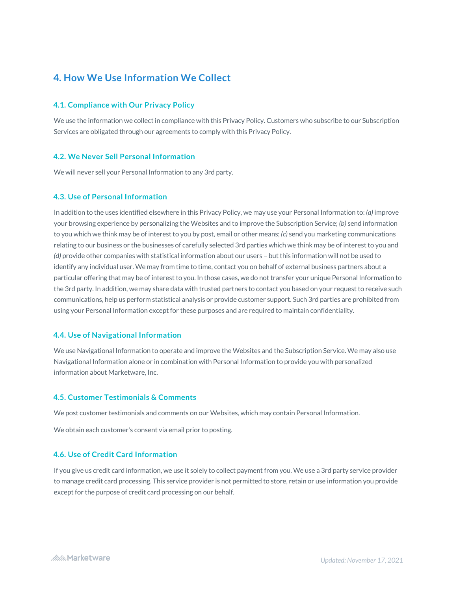## **4. How We Use Information We Collect**

#### **4.1. Compliance with Our Privacy Policy**

We use the information we collect in compliance with this Privacy Policy. Customers who subscribe to our Subscription Services are obligated through our agreements to comply with this Privacy Policy.

#### **4.2. We Never Sell Personal Information**

We will never sell your Personal Information to any 3rd party.

### **4.3. Use of Personal Information**

In addition to the uses identified elsewhere in this Privacy Policy, we may use your Personal Information to: *(a)* improve your browsing experience by personalizing the Websites and to improve the Subscription Service; *(b)* send information to you which we think may be of interest to you by post, email or other means; *(c)* send you marketing communications relating to our business or the businesses of carefully selected 3rd parties which we think may be of interest to you and *(d)* provide other companies with statistical information about our users – but this information will not be used to identify any individual user. We may from time to time, contact you on behalf of external business partners about a particular offering that may be of interest to you. In those cases, we do not transfer your unique Personal Information to the 3rd party. In addition, we may share data with trusted partners to contact you based on your request to receive such communications, help us perform statistical analysis or provide customer support. Such 3rd parties are prohibited from using your Personal Information except for these purposes and are required to maintain confidentiality.

#### **4.4. Use of Navigational Information**

We use Navigational Information to operate and improve the Websites and the Subscription Service. We may also use Navigational Information alone or in combination with Personal Information to provide you with personalized information about Marketware, Inc.

#### **4.5. Customer Testimonials & Comments**

We post customer testimonials and comments on our Websites, which may contain Personal Information.

We obtain each customer's consent via email prior to posting.

#### **4.6. Use of Credit Card Information**

If you give us credit card information, we use it solely to collect payment from you. We use a 3rd party service provider to manage credit card processing. This service provider is not permitted to store, retain or use information you provide except for the purpose of credit card processing on our behalf.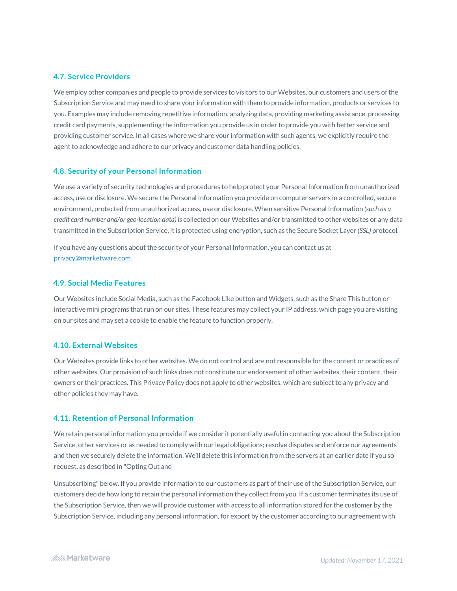#### **4.7. Service Providers**

We employ other companies and people to provide services to visitors to our Websites, our customers and users of the Subscription Service and may need to share your information with them to provide information, products or services to you. Examples may include removing repetitive information, analyzing data, providing marketing assistance, processing credit card payments, supplementing the information you provide us in order to provide you with better service and providing customer service. In all cases where we share your information with such agents, we explicitly require the agent to acknowledge and adhere to our privacy and customer data handling policies.

#### **4.8. Security of your Personal Information**

We use a variety of security technologies and procedures to help protect your Personal Information from unauthorized access, use or disclosure. We secure the Personal Information you provide on computer servers in a controlled, secure environment, protected from unauthorized access, use or disclosure. When sensitive Personal Information *(such as a credit card number and/or geo-location data) is* collected on our Websites and/or transmitted to other websites or any data transmitted in the Subscription Service, it is protected using encryption, such as the Secure Socket Layer *(SSL)* protocol.

If you have any questions about the security of your Personal Information, you can contact us at privacy@marketware.com.

#### **4.9. Social Media Features**

Our Websites include Social Media, such as the Facebook Like button and Widgets, such as the Share This button or interactive mini programs that run on our sites. These features may collect your IP address, which page you are visiting on our sites and may set a cookie to enable the feature to function properly.

### **4.10. External Websites**

Our Websites provide links to other websites. We do not control and are not responsible for the content or practices of other websites. Our provision of such links does not constitute our endorsement of other websites, their content, their owners or their practices. This Privacy Policy does not apply to other websites, which are subject to any privacy and other policies they may have.

### **4.11. Retention of Personal Information**

We retain personal information you provide if we consider it potentially useful in contacting you about the Subscription Service, other services or as needed to comply with our legal obligations; resolve disputes and enforce our agreements and then we securely delete the information. We'll delete this information from the servers at an earlier date if you so request, as described in "Opting Out and

Unsubscribing" below. If you provide information to our customers as part of their use of the Subscription Service, our customers decide how long to retain the personal information they collect from you. If a customer terminates its use of the Subscription Service, then we will provide customer with access to all information stored for the customer by the Subscription Service, including any personal information, for export by the customer according to our agreement with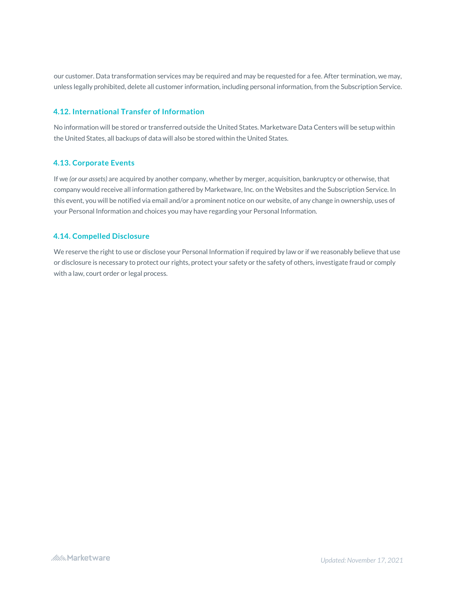our customer. Data transformation services may be required and may be requested for a fee. After termination, we may, unless legally prohibited, delete all customer information, including personal information, from the Subscription Service.

## **4.12. International Transfer of Information**

No information will be stored or transferred outside the United States. Marketware Data Centers will be setup within the United States, all backups of data will also be stored within the United States.

### **4.13. Corporate Events**

If we *(or our assets)* are acquired by another company, whether by merger, acquisition, bankruptcy or otherwise, that company would receive all information gathered by Marketware, Inc. on the Websites and the Subscription Service. In this event, you will be notified via email and/or a prominent notice on our website, of any change in ownership, uses of your Personal Information and choices you may have regarding your Personal Information.

## **4.14. Compelled Disclosure**

We reserve the right to use or disclose your Personal Information if required by law or if we reasonably believe that use or disclosure is necessary to protect our rights, protect your safety or the safety of others, investigate fraud or comply with a law, court order or legal process.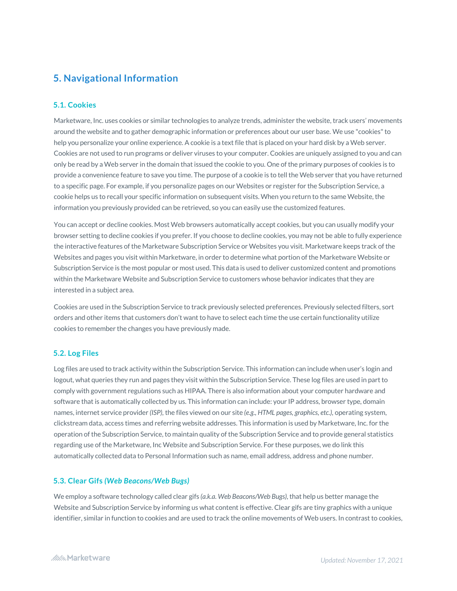# **5. Navigational Information**

## **5.1. Cookies**

Marketware, Inc. uses cookies or similar technologies to analyze trends, administer the website, track users' movements around the website and to gather demographic information or preferences about our user base. We use "cookies" to help you personalize your online experience. A cookie is a text file that is placed on your hard disk by a Web server. Cookies are not used to run programs or deliver viruses to your computer. Cookies are uniquely assigned to you and can only be read by a Web server in the domain that issued the cookie to you. One of the primary purposes of cookies is to provide a convenience feature to save you time. The purpose of a cookie is to tell the Web server that you have returned to a specific page. For example, if you personalize pages on our Websites or register for the Subscription Service, a cookie helps us to recall your specific information on subsequent visits. When you return to the same Website, the information you previously provided can be retrieved, so you can easily use the customized features.

You can accept or decline cookies. Most Web browsers automatically accept cookies, but you can usually modify your browser setting to decline cookies if you prefer. If you choose to decline cookies, you may not be able to fully experience the interactive features of the Marketware Subscription Service or Websites you visit. Marketware keeps track of the Websites and pages you visit within Marketware, in order to determine what portion of the Marketware Website or Subscription Service is the most popular or most used. This data is used to deliver customized content and promotions within the Marketware Website and Subscription Service to customers whose behavior indicates that they are interested in a subject area.

Cookies are used in the Subscription Service to track previously selected preferences. Previously selected filters, sort orders and other items that customers don't want to have to select each time the use certain functionality utilize cookies to remember the changes you have previously made.

#### **5.2. Log Files**

Log files are used to track activity within the Subscription Service. This information can include when user's login and logout, what queries they run and pages they visit within the Subscription Service. These log files are used in part to comply with government regulations such as HIPAA. There is also information about your computer hardware and software that is automatically collected by us. This information can include: your IP address, browser type, domain names, internet service provider *(ISP),* the files viewed on our site *(e.g., HTML pages, graphics, etc.),* operating system, clickstream data, access times and referring website addresses. This information is used by Marketware, Inc. for the operation of the Subscription Service, to maintain quality of the Subscription Service and to provide general statistics regarding use of the Marketware, Inc Website and Subscription Service. For these purposes, we do link this automatically collected data to Personal Information such as name, email address, address and phone number.

#### **5.3. Clear Gifs** *(Web Beacons/Web Bugs)*

We employ a software technology called clear gifs *(a.k.a. Web Beacons/Web Bugs)*, that help us better manage the Website and Subscription Service by informing us what content is effective. Clear gifs are tiny graphics with a unique identifier, similar in function to cookies and are used to track the online movements of Web users. In contrast to cookies,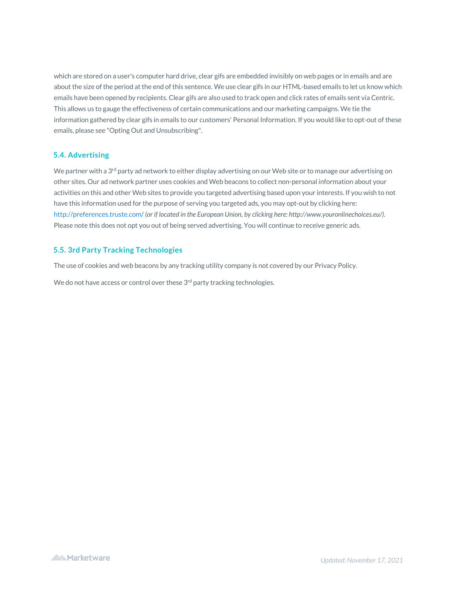which are stored on a user's computer hard drive, clear gifs are embedded invisibly on web pages or in emails and are about the size of the period at the end of this sentence. We use clear gifs in our HTML-based emails to let us know which emails have been opened by recipients. Clear gifs are also used to track open and click rates of emails sent via Centric. This allows us to gauge the effectiveness of certain communications and our marketing campaigns. We tie the information gathered by clear gifs in emails to our customers' Personal Information. If you would like to opt-out of these emails, please see "Opting Out and Unsubscribing".

## **5.4. Advertising**

We partner with a  $3<sup>rd</sup>$  party ad network to either display advertising on our Web site or to manage our advertising on other sites. Our ad network partner uses cookies and Web beacons to collect non-personal information about your activities on this and other Web sites to provide you targeted advertising based upon your interests. If you wish to not have this information used for the purpose of serving you targeted ads, you may opt-out by clicking here: http://preferences.truste.com/*(or if located in the European Union, by clicking here: http://www.youronlinechoices.eu/).* Please note this does not opt you out of being served advertising. You will continue to receive generic ads.

## **5.5. 3rd Party Tracking Technologies**

The use of cookies and web beacons by any tracking utility company is not covered by our Privacy Policy.

We do not have access or control over these 3<sup>rd</sup> party tracking technologies.